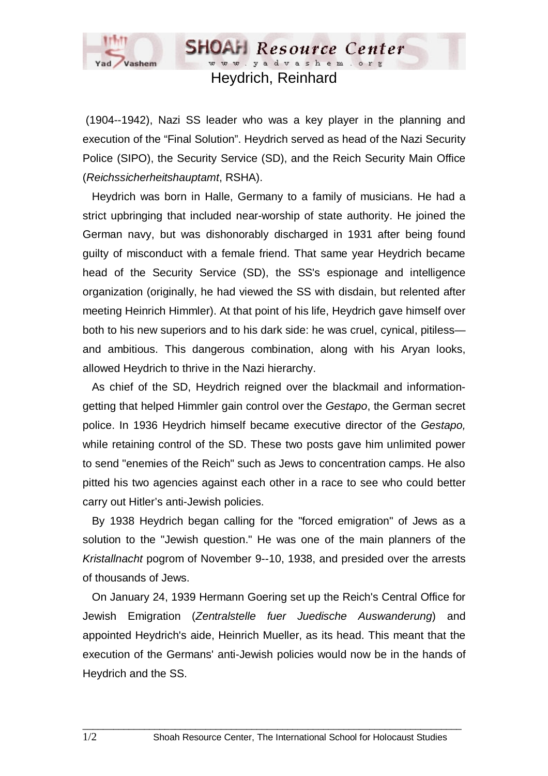

## Heydrich, Reinhard

**SHOAH** Resource Center www.yadvashem.org

 (1904--1942), Nazi SS leader who was a key player in the planning and execution of the "Final Solution". Heydrich served as head of the Nazi Security Police (SIPO), the Security Service (SD), and the Reich Security Main Office (*Reichssicherheitshauptamt*, RSHA).

 Heydrich was born in Halle, Germany to a family of musicians. He had a strict upbringing that included near-worship of state authority. He joined the German navy, but was dishonorably discharged in 1931 after being found guilty of misconduct with a female friend. That same year Heydrich became head of the Security Service (SD), the SS's espionage and intelligence organization (originally, he had viewed the SS with disdain, but relented after meeting Heinrich Himmler). At that point of his life, Heydrich gave himself over both to his new superiors and to his dark side: he was cruel, cynical, pitiless and ambitious. This dangerous combination, along with his Aryan looks, allowed Heydrich to thrive in the Nazi hierarchy.

 As chief of the SD, Heydrich reigned over the blackmail and informationgetting that helped Himmler gain control over the *Gestapo*, the German secret police. In 1936 Heydrich himself became executive director of the *Gestapo,* while retaining control of the SD. These two posts gave him unlimited power to send "enemies of the Reich" such as Jews to concentration camps. He also pitted his two agencies against each other in a race to see who could better carry out Hitler's anti-Jewish policies.

 By 1938 Heydrich began calling for the "forced emigration" of Jews as a solution to the "Jewish question." He was one of the main planners of the *Kristallnacht* pogrom of November 9--10, 1938, and presided over the arrests of thousands of Jews.

 On January 24, 1939 Hermann Goering set up the Reich's Central Office for Jewish Emigration (*Zentralstelle fuer Juedische Auswanderung*) and appointed Heydrich's aide, Heinrich Mueller, as its head. This meant that the execution of the Germans' anti-Jewish policies would now be in the hands of Heydrich and the SS.

 $\Box$